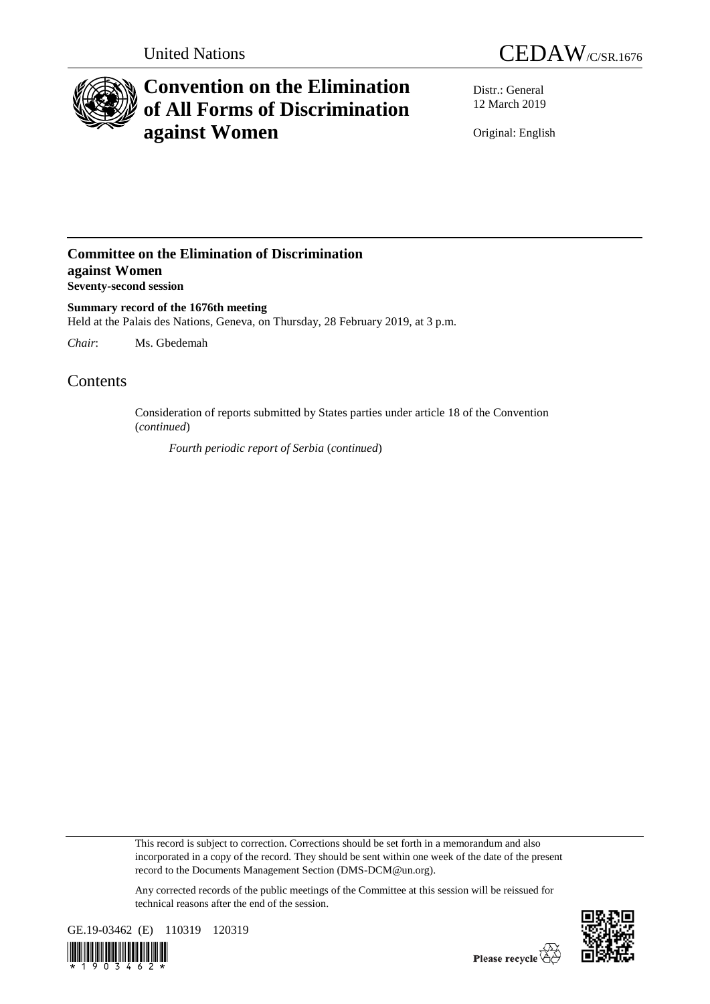



# **Convention on the Elimination of All Forms of Discrimination against Women**

Distr.: General 12 March 2019

Original: English

### **Committee on the Elimination of Discrimination against Women Seventy-second session**

**Summary record of the 1676th meeting** Held at the Palais des Nations, Geneva, on Thursday, 28 February 2019, at 3 p.m.

*Chair*: Ms. Gbedemah

## Contents

Consideration of reports submitted by States parties under article 18 of the Convention (*continued*)

*Fourth periodic report of Serbia* (*continued*)

This record is subject to correction. Corrections should be set forth in a memorandum and also incorporated in a copy of the record. They should be sent within one week of the date of the present record to the Documents Management Section (DMS-DCM@un.org).

Any corrected records of the public meetings of the Committee at this session will be reissued for technical reasons after the end of the session.



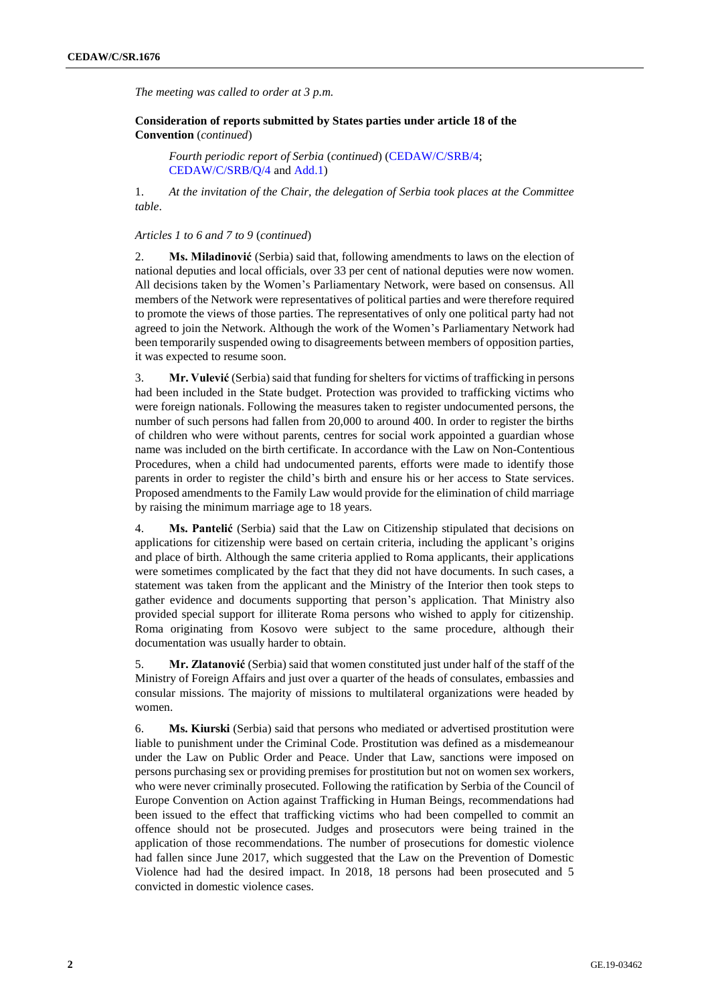*The meeting was called to order at 3 p.m.*

**Consideration of reports submitted by States parties under article 18 of the Convention** (*continued*)

*Fourth periodic report of Serbia* (*continued*) [\(CEDAW/C/SRB/4;](http://undocs.org/en/CEDAW/C/SRB/4) [CEDAW/C/SRB/Q/4](http://undocs.org/en/CEDAW/C/SRB/Q/4) an[d Add.1\)](http://undocs.org/en/CEDAW/C/SRB/Q/4/Add.1)

1. *At the invitation of the Chair, the delegation of Serbia took places at the Committee table*.

#### *Articles 1 to 6 and 7 to 9* (*continued*)

2. **Ms. Miladinović** (Serbia) said that, following amendments to laws on the election of national deputies and local officials, over 33 per cent of national deputies were now women. All decisions taken by the Women's Parliamentary Network, were based on consensus. All members of the Network were representatives of political parties and were therefore required to promote the views of those parties. The representatives of only one political party had not agreed to join the Network. Although the work of the Women's Parliamentary Network had been temporarily suspended owing to disagreements between members of opposition parties, it was expected to resume soon.

3. **Mr. Vulević** (Serbia) said that funding for shelters for victims of trafficking in persons had been included in the State budget. Protection was provided to trafficking victims who were foreign nationals. Following the measures taken to register undocumented persons, the number of such persons had fallen from 20,000 to around 400. In order to register the births of children who were without parents, centres for social work appointed a guardian whose name was included on the birth certificate. In accordance with the Law on Non-Contentious Procedures, when a child had undocumented parents, efforts were made to identify those parents in order to register the child's birth and ensure his or her access to State services. Proposed amendments to the Family Law would provide for the elimination of child marriage by raising the minimum marriage age to 18 years.

4. **Ms. Pantelić** (Serbia) said that the Law on Citizenship stipulated that decisions on applications for citizenship were based on certain criteria, including the applicant's origins and place of birth. Although the same criteria applied to Roma applicants, their applications were sometimes complicated by the fact that they did not have documents. In such cases, a statement was taken from the applicant and the Ministry of the Interior then took steps to gather evidence and documents supporting that person's application. That Ministry also provided special support for illiterate Roma persons who wished to apply for citizenship. Roma originating from Kosovo were subject to the same procedure, although their documentation was usually harder to obtain.

5. **Mr. Zlatanović** (Serbia) said that women constituted just under half of the staff of the Ministry of Foreign Affairs and just over a quarter of the heads of consulates, embassies and consular missions. The majority of missions to multilateral organizations were headed by women.

6. **Ms. Kiurski** (Serbia) said that persons who mediated or advertised prostitution were liable to punishment under the Criminal Code. Prostitution was defined as a misdemeanour under the Law on Public Order and Peace. Under that Law, sanctions were imposed on persons purchasing sex or providing premises for prostitution but not on women sex workers, who were never criminally prosecuted. Following the ratification by Serbia of the Council of Europe Convention on Action against Trafficking in Human Beings, recommendations had been issued to the effect that trafficking victims who had been compelled to commit an offence should not be prosecuted. Judges and prosecutors were being trained in the application of those recommendations. The number of prosecutions for domestic violence had fallen since June 2017, which suggested that the Law on the Prevention of Domestic Violence had had the desired impact. In 2018, 18 persons had been prosecuted and 5 convicted in domestic violence cases.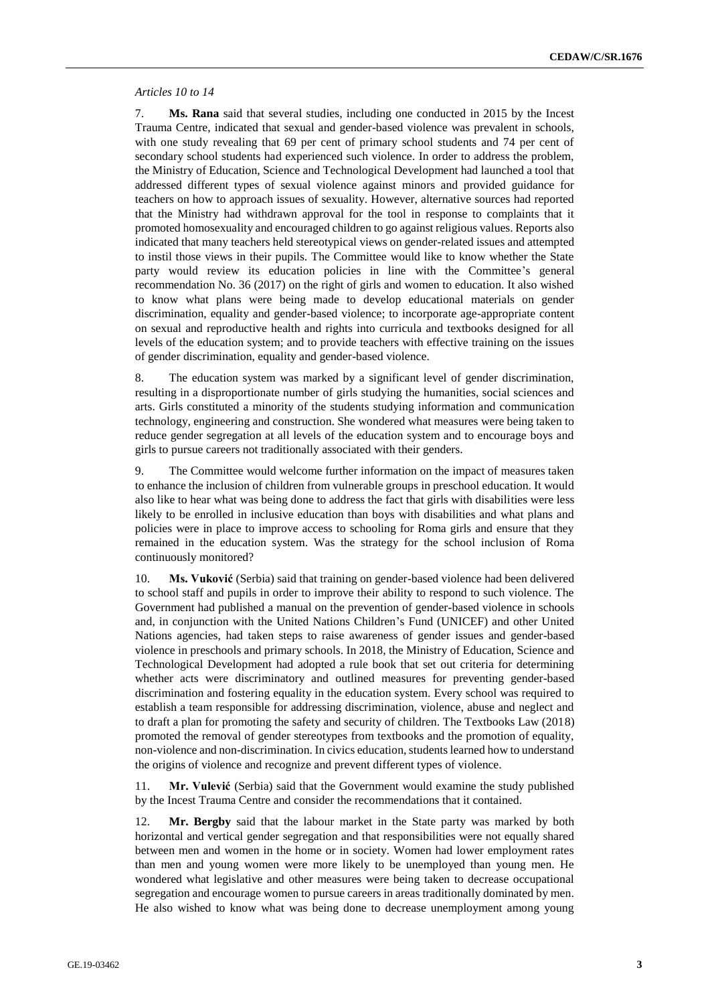#### *Articles 10 to 14*

7. **Ms. Rana** said that several studies, including one conducted in 2015 by the Incest Trauma Centre, indicated that sexual and gender-based violence was prevalent in schools, with one study revealing that 69 per cent of primary school students and 74 per cent of secondary school students had experienced such violence. In order to address the problem, the Ministry of Education, Science and Technological Development had launched a tool that addressed different types of sexual violence against minors and provided guidance for teachers on how to approach issues of sexuality. However, alternative sources had reported that the Ministry had withdrawn approval for the tool in response to complaints that it promoted homosexuality and encouraged children to go against religious values. Reports also indicated that many teachers held stereotypical views on gender-related issues and attempted to instil those views in their pupils. The Committee would like to know whether the State party would review its education policies in line with the Committee's general recommendation No. 36 (2017) on the right of girls and women to education. It also wished to know what plans were being made to develop educational materials on gender discrimination, equality and gender-based violence; to incorporate age-appropriate content on sexual and reproductive health and rights into curricula and textbooks designed for all levels of the education system; and to provide teachers with effective training on the issues of gender discrimination, equality and gender-based violence.

8. The education system was marked by a significant level of gender discrimination, resulting in a disproportionate number of girls studying the humanities, social sciences and arts. Girls constituted a minority of the students studying information and communication technology, engineering and construction. She wondered what measures were being taken to reduce gender segregation at all levels of the education system and to encourage boys and girls to pursue careers not traditionally associated with their genders.

9. The Committee would welcome further information on the impact of measures taken to enhance the inclusion of children from vulnerable groups in preschool education. It would also like to hear what was being done to address the fact that girls with disabilities were less likely to be enrolled in inclusive education than boys with disabilities and what plans and policies were in place to improve access to schooling for Roma girls and ensure that they remained in the education system. Was the strategy for the school inclusion of Roma continuously monitored?

10. **Ms. Vuković** (Serbia) said that training on gender-based violence had been delivered to school staff and pupils in order to improve their ability to respond to such violence. The Government had published a manual on the prevention of gender-based violence in schools and, in conjunction with the United Nations Children's Fund (UNICEF) and other United Nations agencies, had taken steps to raise awareness of gender issues and gender-based violence in preschools and primary schools. In 2018, the Ministry of Education, Science and Technological Development had adopted a rule book that set out criteria for determining whether acts were discriminatory and outlined measures for preventing gender-based discrimination and fostering equality in the education system. Every school was required to establish a team responsible for addressing discrimination, violence, abuse and neglect and to draft a plan for promoting the safety and security of children. The Textbooks Law (2018) promoted the removal of gender stereotypes from textbooks and the promotion of equality, non-violence and non-discrimination. In civics education, students learned how to understand the origins of violence and recognize and prevent different types of violence.

11. **Mr. Vulević** (Serbia) said that the Government would examine the study published by the Incest Trauma Centre and consider the recommendations that it contained.

12. **Mr. Bergby** said that the labour market in the State party was marked by both horizontal and vertical gender segregation and that responsibilities were not equally shared between men and women in the home or in society. Women had lower employment rates than men and young women were more likely to be unemployed than young men. He wondered what legislative and other measures were being taken to decrease occupational segregation and encourage women to pursue careers in areas traditionally dominated by men. He also wished to know what was being done to decrease unemployment among young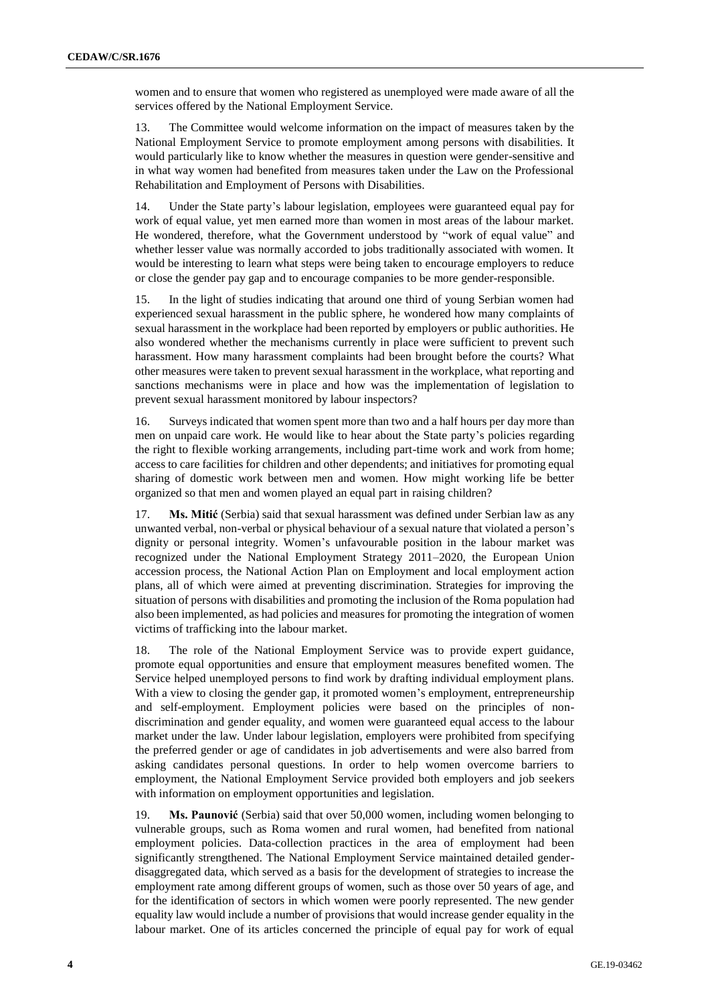women and to ensure that women who registered as unemployed were made aware of all the services offered by the National Employment Service.

13. The Committee would welcome information on the impact of measures taken by the National Employment Service to promote employment among persons with disabilities. It would particularly like to know whether the measures in question were gender-sensitive and in what way women had benefited from measures taken under the Law on the Professional Rehabilitation and Employment of Persons with Disabilities.

14. Under the State party's labour legislation, employees were guaranteed equal pay for work of equal value, yet men earned more than women in most areas of the labour market. He wondered, therefore, what the Government understood by "work of equal value" and whether lesser value was normally accorded to jobs traditionally associated with women. It would be interesting to learn what steps were being taken to encourage employers to reduce or close the gender pay gap and to encourage companies to be more gender-responsible.

15. In the light of studies indicating that around one third of young Serbian women had experienced sexual harassment in the public sphere, he wondered how many complaints of sexual harassment in the workplace had been reported by employers or public authorities. He also wondered whether the mechanisms currently in place were sufficient to prevent such harassment. How many harassment complaints had been brought before the courts? What other measures were taken to prevent sexual harassment in the workplace, what reporting and sanctions mechanisms were in place and how was the implementation of legislation to prevent sexual harassment monitored by labour inspectors?

16. Surveys indicated that women spent more than two and a half hours per day more than men on unpaid care work. He would like to hear about the State party's policies regarding the right to flexible working arrangements, including part-time work and work from home; access to care facilities for children and other dependents; and initiatives for promoting equal sharing of domestic work between men and women. How might working life be better organized so that men and women played an equal part in raising children?

17. **Ms. Mitić** (Serbia) said that sexual harassment was defined under Serbian law as any unwanted verbal, non-verbal or physical behaviour of a sexual nature that violated a person's dignity or personal integrity. Women's unfavourable position in the labour market was recognized under the National Employment Strategy 2011–2020, the European Union accession process, the National Action Plan on Employment and local employment action plans, all of which were aimed at preventing discrimination. Strategies for improving the situation of persons with disabilities and promoting the inclusion of the Roma population had also been implemented, as had policies and measures for promoting the integration of women victims of trafficking into the labour market.

18. The role of the National Employment Service was to provide expert guidance, promote equal opportunities and ensure that employment measures benefited women. The Service helped unemployed persons to find work by drafting individual employment plans. With a view to closing the gender gap, it promoted women's employment, entrepreneurship and self-employment. Employment policies were based on the principles of nondiscrimination and gender equality, and women were guaranteed equal access to the labour market under the law. Under labour legislation, employers were prohibited from specifying the preferred gender or age of candidates in job advertisements and were also barred from asking candidates personal questions. In order to help women overcome barriers to employment, the National Employment Service provided both employers and job seekers with information on employment opportunities and legislation.

19. **Ms. Paunović** (Serbia) said that over 50,000 women, including women belonging to vulnerable groups, such as Roma women and rural women, had benefited from national employment policies. Data-collection practices in the area of employment had been significantly strengthened. The National Employment Service maintained detailed genderdisaggregated data, which served as a basis for the development of strategies to increase the employment rate among different groups of women, such as those over 50 years of age, and for the identification of sectors in which women were poorly represented. The new gender equality law would include a number of provisions that would increase gender equality in the labour market. One of its articles concerned the principle of equal pay for work of equal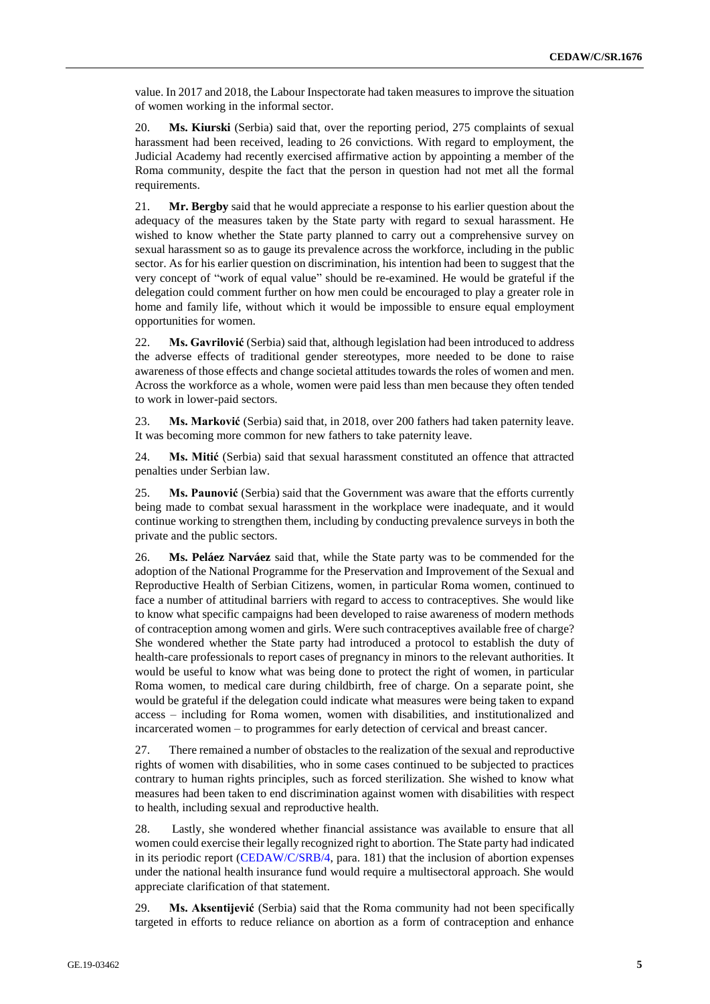value. In 2017 and 2018, the Labour Inspectorate had taken measures to improve the situation of women working in the informal sector.

20. **Ms. Kiurski** (Serbia) said that, over the reporting period, 275 complaints of sexual harassment had been received, leading to 26 convictions. With regard to employment, the Judicial Academy had recently exercised affirmative action by appointing a member of the Roma community, despite the fact that the person in question had not met all the formal requirements.

21. **Mr. Bergby** said that he would appreciate a response to his earlier question about the adequacy of the measures taken by the State party with regard to sexual harassment. He wished to know whether the State party planned to carry out a comprehensive survey on sexual harassment so as to gauge its prevalence across the workforce, including in the public sector. As for his earlier question on discrimination, his intention had been to suggest that the very concept of "work of equal value" should be re-examined. He would be grateful if the delegation could comment further on how men could be encouraged to play a greater role in home and family life, without which it would be impossible to ensure equal employment opportunities for women.

22. **Ms. Gavrilović** (Serbia) said that, although legislation had been introduced to address the adverse effects of traditional gender stereotypes, more needed to be done to raise awareness of those effects and change societal attitudes towards the roles of women and men. Across the workforce as a whole, women were paid less than men because they often tended to work in lower-paid sectors.

23. **Ms. Marković** (Serbia) said that, in 2018, over 200 fathers had taken paternity leave. It was becoming more common for new fathers to take paternity leave.

24. **Ms. Mitić** (Serbia) said that sexual harassment constituted an offence that attracted penalties under Serbian law.

25. **Ms. Paunović** (Serbia) said that the Government was aware that the efforts currently being made to combat sexual harassment in the workplace were inadequate, and it would continue working to strengthen them, including by conducting prevalence surveys in both the private and the public sectors.

26. **Ms. Peláez Narváez** said that, while the State party was to be commended for the adoption of the National Programme for the Preservation and Improvement of the Sexual and Reproductive Health of Serbian Citizens, women, in particular Roma women, continued to face a number of attitudinal barriers with regard to access to contraceptives. She would like to know what specific campaigns had been developed to raise awareness of modern methods of contraception among women and girls. Were such contraceptives available free of charge? She wondered whether the State party had introduced a protocol to establish the duty of health-care professionals to report cases of pregnancy in minors to the relevant authorities. It would be useful to know what was being done to protect the right of women, in particular Roma women, to medical care during childbirth, free of charge. On a separate point, she would be grateful if the delegation could indicate what measures were being taken to expand access – including for Roma women, women with disabilities, and institutionalized and incarcerated women – to programmes for early detection of cervical and breast cancer.

27. There remained a number of obstacles to the realization of the sexual and reproductive rights of women with disabilities, who in some cases continued to be subjected to practices contrary to human rights principles, such as forced sterilization. She wished to know what measures had been taken to end discrimination against women with disabilities with respect to health, including sexual and reproductive health.

28. Lastly, she wondered whether financial assistance was available to ensure that all women could exercise their legally recognized right to abortion. The State party had indicated in its periodic report [\(CEDAW/C/SRB/4,](http://undocs.org/en/CEDAW/C/SRB/4) para. 181) that the inclusion of abortion expenses under the national health insurance fund would require a multisectoral approach. She would appreciate clarification of that statement.

29. **Ms. Aksentijević** (Serbia) said that the Roma community had not been specifically targeted in efforts to reduce reliance on abortion as a form of contraception and enhance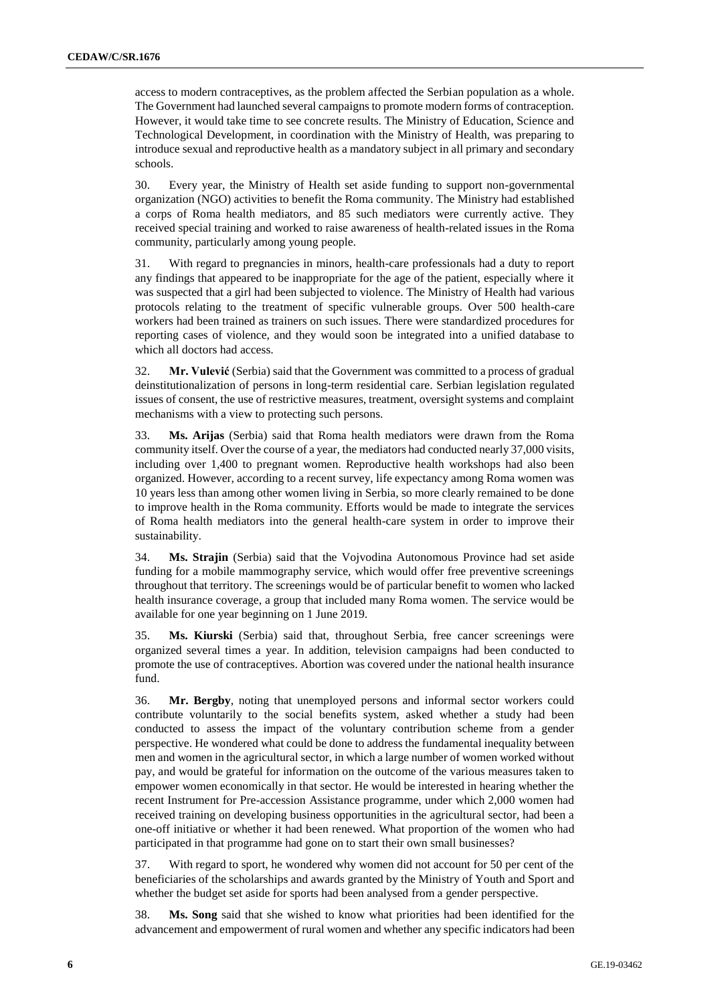access to modern contraceptives, as the problem affected the Serbian population as a whole. The Government had launched several campaigns to promote modern forms of contraception. However, it would take time to see concrete results. The Ministry of Education, Science and Technological Development, in coordination with the Ministry of Health, was preparing to introduce sexual and reproductive health as a mandatory subject in all primary and secondary schools.

30. Every year, the Ministry of Health set aside funding to support non-governmental organization (NGO) activities to benefit the Roma community. The Ministry had established a corps of Roma health mediators, and 85 such mediators were currently active. They received special training and worked to raise awareness of health-related issues in the Roma community, particularly among young people.

31. With regard to pregnancies in minors, health-care professionals had a duty to report any findings that appeared to be inappropriate for the age of the patient, especially where it was suspected that a girl had been subjected to violence. The Ministry of Health had various protocols relating to the treatment of specific vulnerable groups. Over 500 health-care workers had been trained as trainers on such issues. There were standardized procedures for reporting cases of violence, and they would soon be integrated into a unified database to which all doctors had access.

32. **Mr. Vulević** (Serbia) said that the Government was committed to a process of gradual deinstitutionalization of persons in long-term residential care. Serbian legislation regulated issues of consent, the use of restrictive measures, treatment, oversight systems and complaint mechanisms with a view to protecting such persons.

33. **Ms. Arijas** (Serbia) said that Roma health mediators were drawn from the Roma community itself. Over the course of a year, the mediators had conducted nearly 37,000 visits, including over 1,400 to pregnant women. Reproductive health workshops had also been organized. However, according to a recent survey, life expectancy among Roma women was 10 years less than among other women living in Serbia, so more clearly remained to be done to improve health in the Roma community. Efforts would be made to integrate the services of Roma health mediators into the general health-care system in order to improve their sustainability.

34. **Ms. Strajin** (Serbia) said that the Vojvodina Autonomous Province had set aside funding for a mobile mammography service, which would offer free preventive screenings throughout that territory. The screenings would be of particular benefit to women who lacked health insurance coverage, a group that included many Roma women. The service would be available for one year beginning on 1 June 2019.

35. **Ms. Kiurski** (Serbia) said that, throughout Serbia, free cancer screenings were organized several times a year. In addition, television campaigns had been conducted to promote the use of contraceptives. Abortion was covered under the national health insurance fund.

36. **Mr. Bergby**, noting that unemployed persons and informal sector workers could contribute voluntarily to the social benefits system, asked whether a study had been conducted to assess the impact of the voluntary contribution scheme from a gender perspective. He wondered what could be done to address the fundamental inequality between men and women in the agricultural sector, in which a large number of women worked without pay, and would be grateful for information on the outcome of the various measures taken to empower women economically in that sector. He would be interested in hearing whether the recent Instrument for Pre-accession Assistance programme, under which 2,000 women had received training on developing business opportunities in the agricultural sector, had been a one-off initiative or whether it had been renewed. What proportion of the women who had participated in that programme had gone on to start their own small businesses?

37. With regard to sport, he wondered why women did not account for 50 per cent of the beneficiaries of the scholarships and awards granted by the Ministry of Youth and Sport and whether the budget set aside for sports had been analysed from a gender perspective.

38. **Ms. Song** said that she wished to know what priorities had been identified for the advancement and empowerment of rural women and whether any specific indicators had been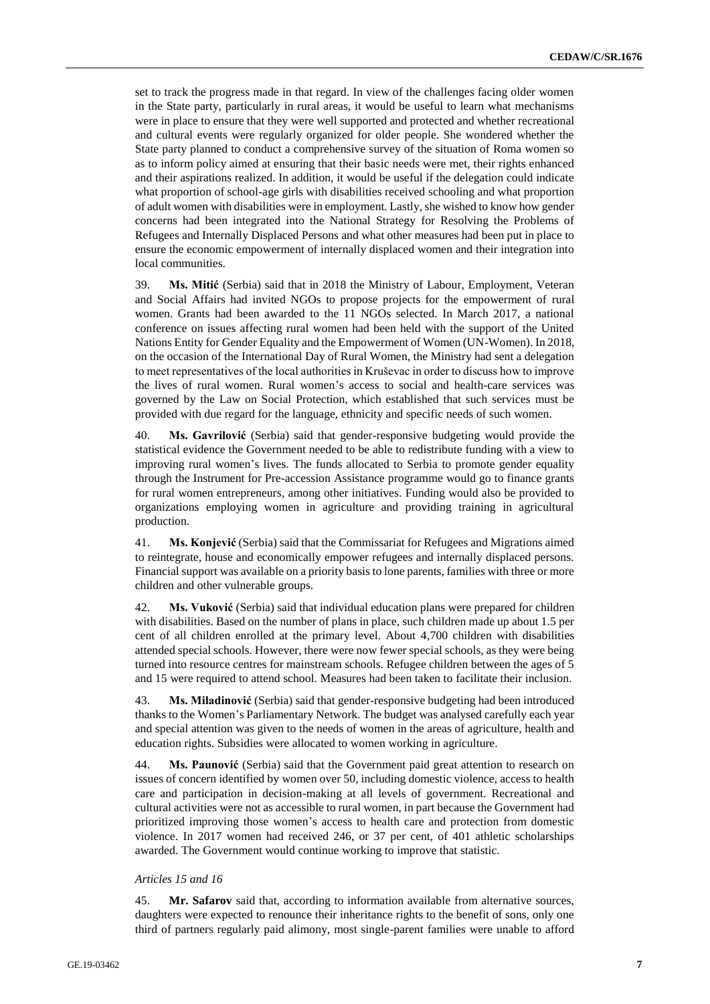set to track the progress made in that regard. In view of the challenges facing older women in the State party, particularly in rural areas, it would be useful to learn what mechanisms were in place to ensure that they were well supported and protected and whether recreational and cultural events were regularly organized for older people. She wondered whether the State party planned to conduct a comprehensive survey of the situation of Roma women so as to inform policy aimed at ensuring that their basic needs were met, their rights enhanced and their aspirations realized. In addition, it would be useful if the delegation could indicate what proportion of school-age girls with disabilities received schooling and what proportion of adult women with disabilities were in employment. Lastly, she wished to know how gender concerns had been integrated into the National Strategy for Resolving the Problems of Refugees and Internally Displaced Persons and what other measures had been put in place to ensure the economic empowerment of internally displaced women and their integration into local communities.

39. **Ms. Mitić** (Serbia) said that in 2018 the Ministry of Labour, Employment, Veteran and Social Affairs had invited NGOs to propose projects for the empowerment of rural women. Grants had been awarded to the 11 NGOs selected. In March 2017, a national conference on issues affecting rural women had been held with the support of the United Nations Entity for Gender Equality and the Empowerment of Women (UN-Women). In 2018, on the occasion of the International Day of Rural Women, the Ministry had sent a delegation to meet representatives of the local authorities in Kruševac in order to discuss how to improve the lives of rural women. Rural women's access to social and health-care services was governed by the Law on Social Protection, which established that such services must be provided with due regard for the language, ethnicity and specific needs of such women.

40. **Ms. Gavrilović** (Serbia) said that gender-responsive budgeting would provide the statistical evidence the Government needed to be able to redistribute funding with a view to improving rural women's lives. The funds allocated to Serbia to promote gender equality through the Instrument for Pre-accession Assistance programme would go to finance grants for rural women entrepreneurs, among other initiatives. Funding would also be provided to organizations employing women in agriculture and providing training in agricultural production.

41. **Ms. Konjević** (Serbia) said that the Commissariat for Refugees and Migrations aimed to reintegrate, house and economically empower refugees and internally displaced persons. Financial support was available on a priority basis to lone parents, families with three or more children and other vulnerable groups.

42. **Ms. Vuković** (Serbia) said that individual education plans were prepared for children with disabilities. Based on the number of plans in place, such children made up about 1.5 per cent of all children enrolled at the primary level. About 4,700 children with disabilities attended special schools. However, there were now fewer special schools, as they were being turned into resource centres for mainstream schools. Refugee children between the ages of 5 and 15 were required to attend school. Measures had been taken to facilitate their inclusion.

43. **Ms. Miladinović** (Serbia) said that gender-responsive budgeting had been introduced thanks to the Women's Parliamentary Network. The budget was analysed carefully each year and special attention was given to the needs of women in the areas of agriculture, health and education rights. Subsidies were allocated to women working in agriculture.

44. **Ms. Paunović** (Serbia) said that the Government paid great attention to research on issues of concern identified by women over 50, including domestic violence, access to health care and participation in decision-making at all levels of government. Recreational and cultural activities were not as accessible to rural women, in part because the Government had prioritized improving those women's access to health care and protection from domestic violence. In 2017 women had received 246, or 37 per cent, of 401 athletic scholarships awarded. The Government would continue working to improve that statistic.

#### *Articles 15 and 16*

45. **Mr. Safarov** said that, according to information available from alternative sources, daughters were expected to renounce their inheritance rights to the benefit of sons, only one third of partners regularly paid alimony, most single-parent families were unable to afford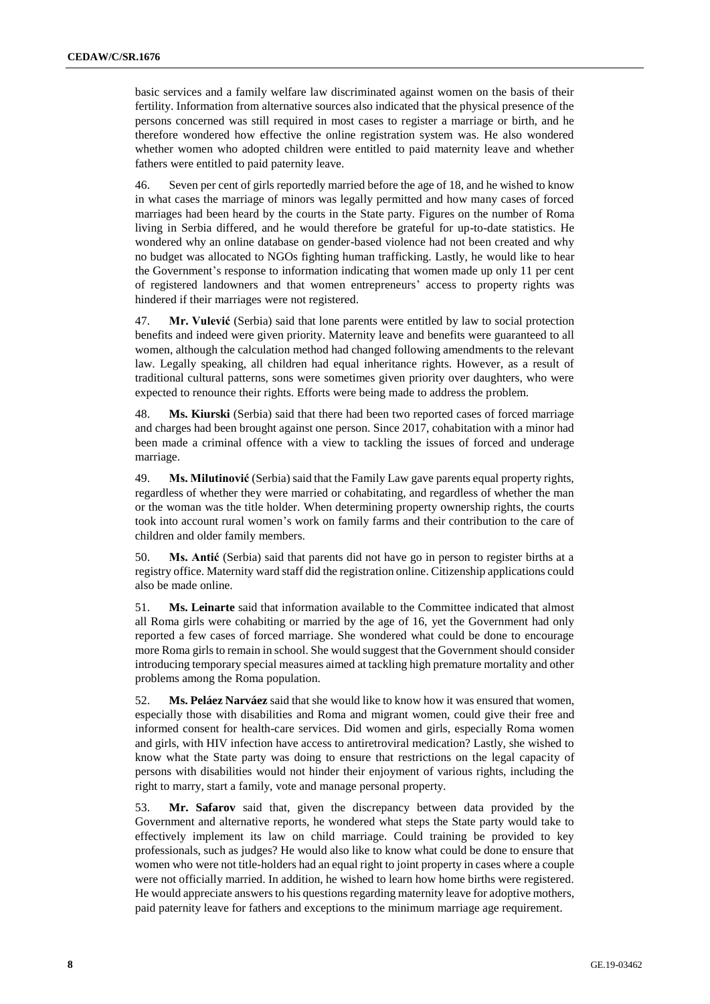basic services and a family welfare law discriminated against women on the basis of their fertility. Information from alternative sources also indicated that the physical presence of the persons concerned was still required in most cases to register a marriage or birth, and he therefore wondered how effective the online registration system was. He also wondered whether women who adopted children were entitled to paid maternity leave and whether fathers were entitled to paid paternity leave.

46. Seven per cent of girls reportedly married before the age of 18, and he wished to know in what cases the marriage of minors was legally permitted and how many cases of forced marriages had been heard by the courts in the State party. Figures on the number of Roma living in Serbia differed, and he would therefore be grateful for up-to-date statistics. He wondered why an online database on gender-based violence had not been created and why no budget was allocated to NGOs fighting human trafficking. Lastly, he would like to hear the Government's response to information indicating that women made up only 11 per cent of registered landowners and that women entrepreneurs' access to property rights was hindered if their marriages were not registered.

47. **Mr. Vulević** (Serbia) said that lone parents were entitled by law to social protection benefits and indeed were given priority. Maternity leave and benefits were guaranteed to all women, although the calculation method had changed following amendments to the relevant law. Legally speaking, all children had equal inheritance rights. However, as a result of traditional cultural patterns, sons were sometimes given priority over daughters, who were expected to renounce their rights. Efforts were being made to address the problem.

48. **Ms. Kiurski** (Serbia) said that there had been two reported cases of forced marriage and charges had been brought against one person. Since 2017, cohabitation with a minor had been made a criminal offence with a view to tackling the issues of forced and underage marriage.

49. **Ms. Milutinović** (Serbia) said that the Family Law gave parents equal property rights, regardless of whether they were married or cohabitating, and regardless of whether the man or the woman was the title holder. When determining property ownership rights, the courts took into account rural women's work on family farms and their contribution to the care of children and older family members.

50. **Ms. Antić** (Serbia) said that parents did not have go in person to register births at a registry office. Maternity ward staff did the registration online. Citizenship applications could also be made online.

51. **Ms. Leinarte** said that information available to the Committee indicated that almost all Roma girls were cohabiting or married by the age of 16, yet the Government had only reported a few cases of forced marriage. She wondered what could be done to encourage more Roma girls to remain in school. She would suggest that the Government should consider introducing temporary special measures aimed at tackling high premature mortality and other problems among the Roma population.

52. **Ms. Peláez Narváez** said that she would like to know how it was ensured that women, especially those with disabilities and Roma and migrant women, could give their free and informed consent for health-care services. Did women and girls, especially Roma women and girls, with HIV infection have access to antiretroviral medication? Lastly, she wished to know what the State party was doing to ensure that restrictions on the legal capacity of persons with disabilities would not hinder their enjoyment of various rights, including the right to marry, start a family, vote and manage personal property.

53. **Mr. Safarov** said that, given the discrepancy between data provided by the Government and alternative reports, he wondered what steps the State party would take to effectively implement its law on child marriage. Could training be provided to key professionals, such as judges? He would also like to know what could be done to ensure that women who were not title-holders had an equal right to joint property in cases where a couple were not officially married. In addition, he wished to learn how home births were registered. He would appreciate answers to his questions regarding maternity leave for adoptive mothers, paid paternity leave for fathers and exceptions to the minimum marriage age requirement.